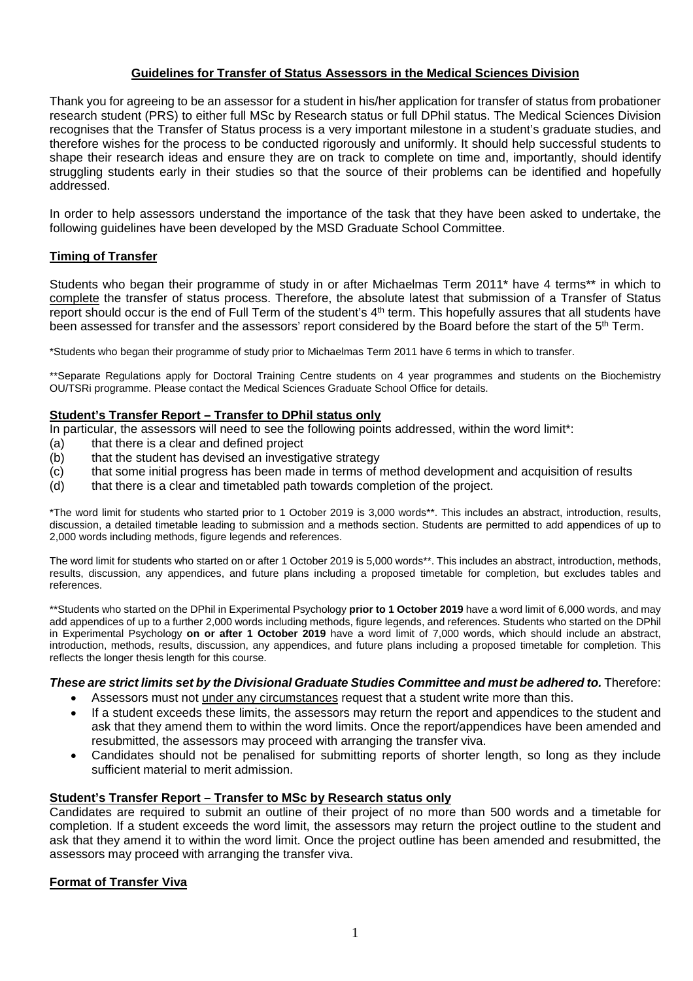## **Guidelines for Transfer of Status Assessors in the Medical Sciences Division**

Thank you for agreeing to be an assessor for a student in his/her application for transfer of status from probationer research student (PRS) to either full MSc by Research status or full DPhil status. The Medical Sciences Division recognises that the Transfer of Status process is a very important milestone in a student's graduate studies, and therefore wishes for the process to be conducted rigorously and uniformly. It should help successful students to shape their research ideas and ensure they are on track to complete on time and, importantly, should identify struggling students early in their studies so that the source of their problems can be identified and hopefully addressed.

In order to help assessors understand the importance of the task that they have been asked to undertake, the following guidelines have been developed by the MSD Graduate School Committee.

# **Timing of Transfer**

Students who began their programme of study in or after Michaelmas Term 2011\* have 4 terms\*\* in which to complete the transfer of status process. Therefore, the absolute latest that submission of a Transfer of Status report should occur is the end of Full Term of the student's 4<sup>th</sup> term. This hopefully assures that all students have been assessed for transfer and the assessors' report considered by the Board before the start of the 5<sup>th</sup> Term.

\*Students who began their programme of study prior to Michaelmas Term 2011 have 6 terms in which to transfer.

\*\*Separate Regulations apply for Doctoral Training Centre students on 4 year programmes and students on the Biochemistry OU/TSRi programme. Please contact the Medical Sciences Graduate School Office for details.

# **Student's Transfer Report – Transfer to DPhil status only**

In particular, the assessors will need to see the following points addressed, within the word limit\*:

- (a) that there is a clear and defined project
- (b) that the student has devised an investigative strategy
- (c) that some initial progress has been made in terms of method development and acquisition of results
- (d) that there is a clear and timetabled path towards completion of the project.

\*The word limit for students who started prior to 1 October 2019 is 3,000 words\*\*. This includes an abstract, introduction, results, discussion, a detailed timetable leading to submission and a methods section. Students are permitted to add appendices of up to 2,000 words including methods, figure legends and references.

The word limit for students who started on or after 1 October 2019 is 5,000 words\*\*. This includes an abstract, introduction, methods, results, discussion, any appendices, and future plans including a proposed timetable for completion, but excludes tables and references.

\*\*Students who started on the DPhil in Experimental Psychology **prior to 1 October 2019** have a word limit of 6,000 words, and may add appendices of up to a further 2,000 words including methods, figure legends, and references. Students who started on the DPhil in Experimental Psychology **on or after 1 October 2019** have a word limit of 7,000 words, which should include an abstract, introduction, methods, results, discussion, any appendices, and future plans including a proposed timetable for completion. This reflects the longer thesis length for this course.

# **These are strict limits set by the Divisional Graduate Studies Committee and must be adhered to.** Therefore:

- Assessors must not *under any circumstances* request that a student write more than this.
- If a student exceeds these limits, the assessors may return the report and appendices to the student and ask that they amend them to within the word limits. Once the report/appendices have been amended and resubmitted, the assessors may proceed with arranging the transfer viva.
- Candidates should not be penalised for submitting reports of shorter length, so long as they include sufficient material to merit admission.

# **Student's Transfer Report – Transfer to MSc by Research status only**

Candidates are required to submit an outline of their project of no more than 500 words and a timetable for completion. If a student exceeds the word limit, the assessors may return the project outline to the student and ask that they amend it to within the word limit. Once the project outline has been amended and resubmitted, the assessors may proceed with arranging the transfer viva.

# **Format of Transfer Viva**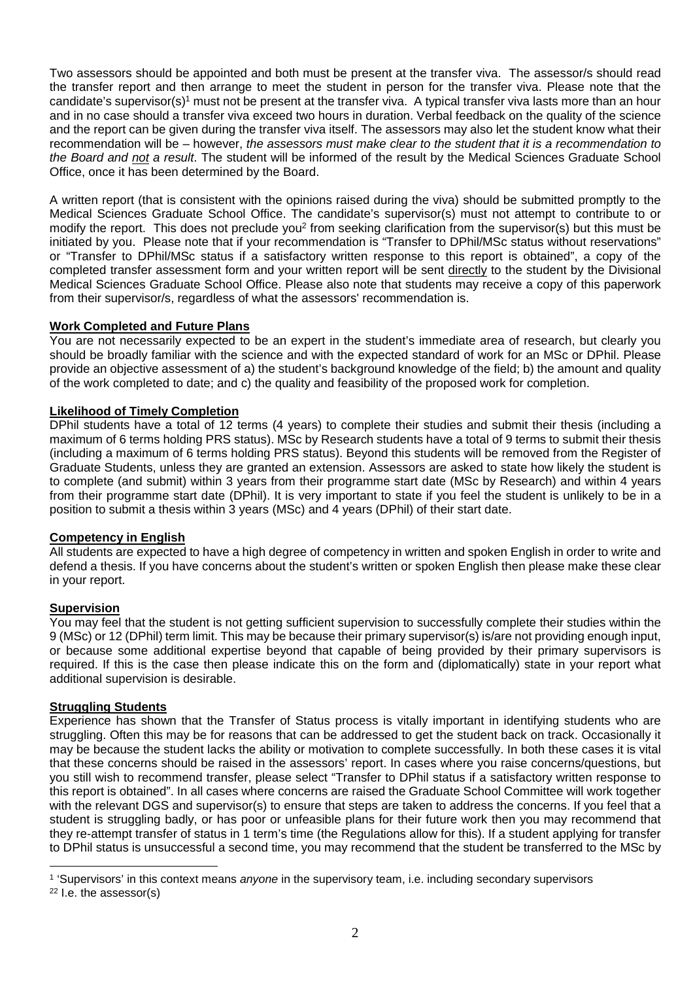Two assessors should be appointed and both must be present at the transfer viva. The assessor/s should read the transfer report and then arrange to meet the student in person for the transfer viva. Please note that the candidate's supervisor(s)<sup>1</sup> must not be present at the transfer viva. A typical transfer viva lasts more than an hour and in no case should a transfer viva exceed two hours in duration. Verbal feedback on the quality of the science and the report can be given during the transfer viva itself. The assessors may also let the student know what their recommendation will be – however, *the assessors must make clear to the student that it is a recommendation to the Board and not a result*. The student will be informed of the result by the Medical Sciences Graduate School Office, once it has been determined by the Board.

A written report (that is consistent with the opinions raised during the viva) should be submitted promptly to the Medical Sciences Graduate School Office. The candidate's supervisor(s) must not attempt to contribute to or modify the report. This does not preclude you<sup>2</sup> from seeking clarification from the supervisor(s) but this must be initiated by you. Please note that if your recommendation is "Transfer to DPhil/MSc status without reservations" or "Transfer to DPhil/MSc status if a satisfactory written response to this report is obtained", a copy of the completed transfer assessment form and your written report will be sent directly to the student by the Divisional Medical Sciences Graduate School Office. Please also note that students may receive a copy of this paperwork from their supervisor/s, regardless of what the assessors' recommendation is.

## **Work Completed and Future Plans**

You are not necessarily expected to be an expert in the student's immediate area of research, but clearly you should be broadly familiar with the science and with the expected standard of work for an MSc or DPhil. Please provide an objective assessment of a) the student's background knowledge of the field; b) the amount and quality of the work completed to date; and c) the quality and feasibility of the proposed work for completion.

## **Likelihood of Timely Completion**

DPhil students have a total of 12 terms (4 years) to complete their studies and submit their thesis (including a maximum of 6 terms holding PRS status). MSc by Research students have a total of 9 terms to submit their thesis (including a maximum of 6 terms holding PRS status). Beyond this students will be removed from the Register of Graduate Students, unless they are granted an extension. Assessors are asked to state how likely the student is to complete (and submit) within 3 years from their programme start date (MSc by Research) and within 4 years from their programme start date (DPhil). It is very important to state if you feel the student is unlikely to be in a position to submit a thesis within 3 years (MSc) and 4 years (DPhil) of their start date.

#### **Competency in English**

All students are expected to have a high degree of competency in written and spoken English in order to write and defend a thesis. If you have concerns about the student's written or spoken English then please make these clear in your report.

# **Supervision**

 $\overline{a}$ 

You may feel that the student is not getting sufficient supervision to successfully complete their studies within the 9 (MSc) or 12 (DPhil) term limit. This may be because their primary supervisor(s) is/are not providing enough input, or because some additional expertise beyond that capable of being provided by their primary supervisors is required. If this is the case then please indicate this on the form and (diplomatically) state in your report what additional supervision is desirable.

#### **Struggling Students**

Experience has shown that the Transfer of Status process is vitally important in identifying students who are struggling. Often this may be for reasons that can be addressed to get the student back on track. Occasionally it may be because the student lacks the ability or motivation to complete successfully. In both these cases it is vital that these concerns should be raised in the assessors' report. In cases where you raise concerns/questions, but you still wish to recommend transfer, please select "Transfer to DPhil status if a satisfactory written response to this report is obtained". In all cases where concerns are raised the Graduate School Committee will work together with the relevant DGS and supervisor(s) to ensure that steps are taken to address the concerns. If you feel that a student is struggling badly, or has poor or unfeasible plans for their future work then you may recommend that they re-attempt transfer of status in 1 term's time (the Regulations allow for this). If a student applying for transfer to DPhil status is unsuccessful a second time, you may recommend that the student be transferred to the MSc by

<sup>&</sup>lt;sup>1</sup> 'Supervisors' in this context means *anyone* in the supervisory team, i.e. including secondary supervisors 22 I.e. the assessor(s)